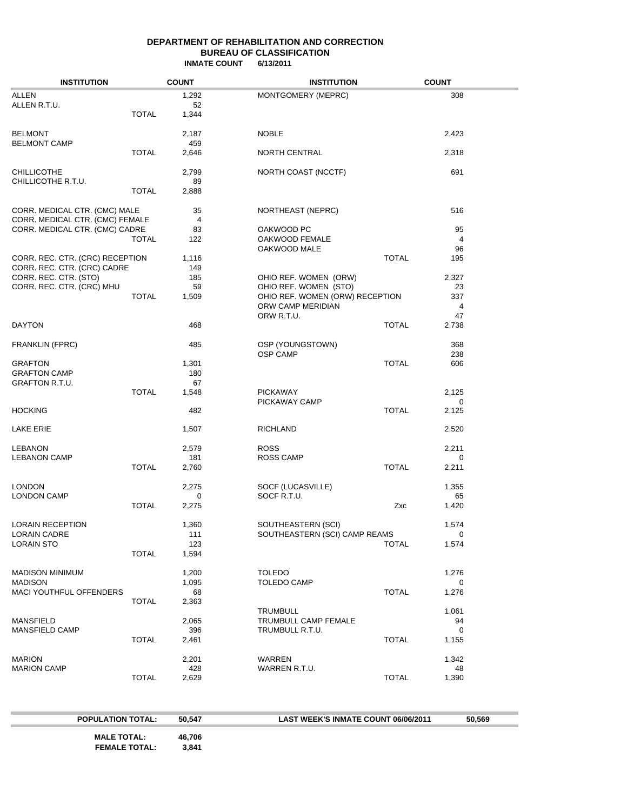#### **DEPARTMENT OF REHABILITATION AND CORRECTION BUREAU OF CLASSIFICATION INMATE COUNT 6/13/2011**

| <b>INSTITUTION</b>                                               |              | <b>COUNT</b>          | <b>INSTITUTION</b>                                                                                     |              | <b>COUNT</b>               |  |
|------------------------------------------------------------------|--------------|-----------------------|--------------------------------------------------------------------------------------------------------|--------------|----------------------------|--|
| <b>ALLEN</b><br>ALLEN R.T.U.                                     | <b>TOTAL</b> | 1,292<br>52<br>1,344  | MONTGOMERY (MEPRC)                                                                                     |              | 308                        |  |
| <b>BELMONT</b><br><b>BELMONT CAMP</b>                            |              | 2,187<br>459          | <b>NOBLE</b>                                                                                           |              | 2,423                      |  |
|                                                                  | <b>TOTAL</b> | 2,646                 | NORTH CENTRAL                                                                                          |              | 2,318                      |  |
| <b>CHILLICOTHE</b><br>CHILLICOTHE R.T.U.                         | <b>TOTAL</b> | 2,799<br>89<br>2,888  | NORTH COAST (NCCTF)                                                                                    |              | 691                        |  |
| CORR. MEDICAL CTR. (CMC) MALE<br>CORR. MEDICAL CTR. (CMC) FEMALE |              | 35<br>4               | NORTHEAST (NEPRC)                                                                                      |              | 516                        |  |
| CORR. MEDICAL CTR. (CMC) CADRE                                   | <b>TOTAL</b> | 83<br>122             | OAKWOOD PC<br>OAKWOOD FEMALE                                                                           |              | 95<br>$\overline{4}$       |  |
| CORR. REC. CTR. (CRC) RECEPTION<br>CORR. REC. CTR. (CRC) CADRE   |              | 1,116<br>149          | OAKWOOD MALE                                                                                           | <b>TOTAL</b> | 96<br>195                  |  |
| CORR. REC. CTR. (STO)<br>CORR. REC. CTR. (CRC) MHU               | <b>TOTAL</b> | 185<br>59<br>1,509    | OHIO REF. WOMEN (ORW)<br>OHIO REF. WOMEN (STO)<br>OHIO REF. WOMEN (ORW) RECEPTION<br>ORW CAMP MERIDIAN |              | 2,327<br>23<br>337<br>4    |  |
| <b>DAYTON</b>                                                    |              | 468                   | ORW R.T.U.                                                                                             | <b>TOTAL</b> | 47<br>2,738                |  |
| FRANKLIN (FPRC)                                                  |              | 485                   | OSP (YOUNGSTOWN)<br><b>OSP CAMP</b>                                                                    |              | 368<br>238                 |  |
| <b>GRAFTON</b><br><b>GRAFTON CAMP</b><br>GRAFTON R.T.U.          |              | 1,301<br>180<br>67    |                                                                                                        | <b>TOTAL</b> | 606                        |  |
|                                                                  | <b>TOTAL</b> | 1,548                 | <b>PICKAWAY</b><br>PICKAWAY CAMP                                                                       |              | 2,125<br>0                 |  |
| <b>HOCKING</b>                                                   |              | 482                   |                                                                                                        | <b>TOTAL</b> | 2,125                      |  |
| <b>LAKE ERIE</b>                                                 |              | 1,507                 | RICHLAND                                                                                               |              | 2,520                      |  |
| <b>LEBANON</b><br><b>LEBANON CAMP</b>                            | <b>TOTAL</b> | 2,579<br>181<br>2,760 | <b>ROSS</b><br><b>ROSS CAMP</b>                                                                        | <b>TOTAL</b> | 2,211<br>0                 |  |
| <b>LONDON</b>                                                    |              | 2,275                 | SOCF (LUCASVILLE)                                                                                      |              | 2,211<br>1,355             |  |
| <b>LONDON CAMP</b>                                               | <b>TOTAL</b> | 0<br>2,275            | SOCF R.T.U.                                                                                            | Zxc          | 65<br>1,420                |  |
| LORAIN RECEPTION                                                 |              | 1,360                 | SOUTHEASTERN (SCI)                                                                                     |              | 1,574                      |  |
| <b>LORAIN CADRE</b><br><b>LORAIN STO</b>                         | <b>TOTAL</b> | 111<br>123<br>1,594   | SOUTHEASTERN (SCI) CAMP REAMS                                                                          | <b>TOTAL</b> | $\Omega$<br>1,574          |  |
| <b>MADISON MINIMUM</b><br><b>MADISON</b>                         |              | 1,200<br>1,095        | <b>TOLEDO</b><br><b>TOLEDO CAMP</b>                                                                    |              | 1,276<br>0                 |  |
| MACI YOUTHFUL OFFENDERS                                          | <b>TOTAL</b> | 68<br>2,363           |                                                                                                        | <b>TOTAL</b> | 1,276                      |  |
| <b>MANSFIELD</b><br>MANSFIELD CAMP                               |              | 2,065<br>396          | <b>TRUMBULL</b><br>TRUMBULL CAMP FEMALE<br>TRUMBULL R.T.U.                                             |              | 1,061<br>94<br>$\mathbf 0$ |  |
|                                                                  | <b>TOTAL</b> | 2,461                 |                                                                                                        | <b>TOTAL</b> | 1,155                      |  |
| <b>MARION</b><br><b>MARION CAMP</b>                              |              | 2,201<br>428          | WARREN<br>WARREN R.T.U.                                                                                |              | 1,342<br>48                |  |
|                                                                  | <b>TOTAL</b> | 2,629                 |                                                                                                        | <b>TOTAL</b> | 1,390                      |  |

| <b>POPULATION TOTAL:</b>                   | 50.547          | <b>LAST WEEK'S INMATE COUNT 06/06/2011</b> | 50.569 |
|--------------------------------------------|-----------------|--------------------------------------------|--------|
| <b>MALE TOTAL:</b><br><b>FEMALE TOTAL:</b> | 46,706<br>3.841 |                                            |        |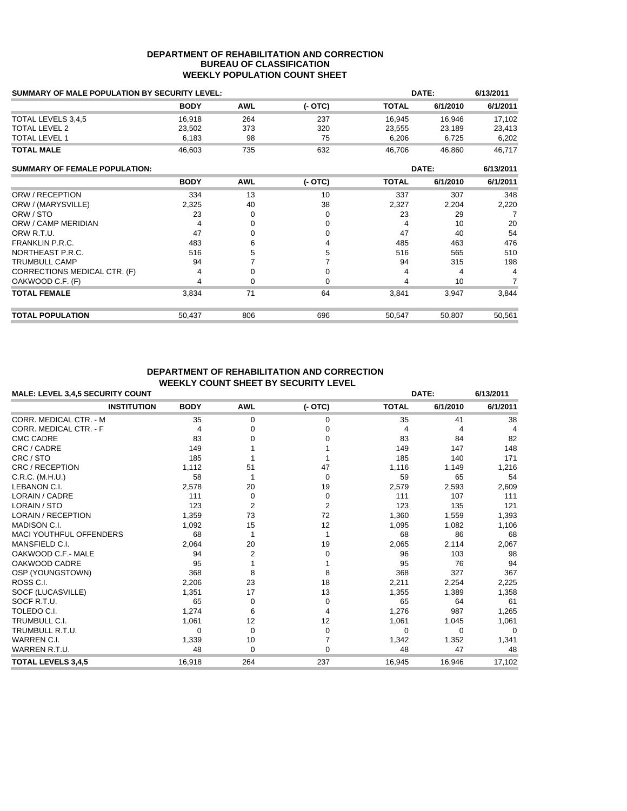#### **DEPARTMENT OF REHABILITATION AND CORRECTION BUREAU OF CLASSIFICATION WEEKLY POPULATION COUNT SHEET**

| SUMMARY OF MALE POPULATION BY SECURITY LEVEL: |             |            |          |              | DATE:    |           |
|-----------------------------------------------|-------------|------------|----------|--------------|----------|-----------|
|                                               | <b>BODY</b> | <b>AWL</b> | (- OTC)  | <b>TOTAL</b> | 6/1/2010 | 6/1/2011  |
| TOTAL LEVELS 3,4,5                            | 16.918      | 264        | 237      | 16,945       | 16,946   | 17,102    |
| <b>TOTAL LEVEL 2</b>                          | 23,502      | 373        | 320      | 23,555       | 23,189   | 23,413    |
| <b>TOTAL LEVEL 1</b>                          | 6,183       | 98         | 75       | 6,206        | 6,725    | 6,202     |
| <b>TOTAL MALE</b>                             | 46,603      | 735        | 632      | 46,706       | 46,860   | 46,717    |
| <b>SUMMARY OF FEMALE POPULATION:</b>          |             |            |          | DATE:        |          | 6/13/2011 |
|                                               | <b>BODY</b> | <b>AWL</b> | $(-OTC)$ | <b>TOTAL</b> | 6/1/2010 | 6/1/2011  |
| ORW / RECEPTION                               | 334         | 13         | 10       | 337          | 307      | 348       |
| ORW / (MARYSVILLE)                            | 2,325       | 40         | 38       | 2,327        | 2,204    | 2,220     |
| ORW / STO                                     | 23          | $\Omega$   | $\Omega$ | 23           | 29       | 7         |
| ORW / CAMP MERIDIAN                           | 4           | 0          | 0        | 4            | 10       | 20        |
| ORW R.T.U.                                    | 47          | 0          | 0        | 47           | 40       | 54        |
| <b>FRANKLIN P.R.C.</b>                        | 483         | 6          | 4        | 485          | 463      | 476       |
| NORTHEAST P.R.C.                              | 516         | 5          | 5        | 516          | 565      | 510       |
| <b>TRUMBULL CAMP</b>                          | 94          |            |          | 94           | 315      | 198       |
| CORRECTIONS MEDICAL CTR. (F)                  | 4           | 0          | 0        | 4            | 4        | 4         |
| OAKWOOD C.F. (F)                              | 4           | 0          | $\Omega$ | 4            | 10       | 7         |
| <b>TOTAL FEMALE</b>                           | 3,834       | 71         | 64       | 3,841        | 3,947    | 3,844     |
| <b>TOTAL POPULATION</b>                       | 50,437      | 806        | 696      | 50,547       | 50,807   | 50,561    |

#### **DEPARTMENT OF REHABILITATION AND CORRECTION WEEKLY COUNT SHEET BY SECURITY LEVEL**

| <b>MALE: LEVEL 3,4,5 SECURITY COUNT</b> |             | DATE:       | 6/13/2011      |              |          |              |
|-----------------------------------------|-------------|-------------|----------------|--------------|----------|--------------|
| <b>INSTITUTION</b>                      | <b>BODY</b> | <b>AWL</b>  | $(-OTC)$       | <b>TOTAL</b> | 6/1/2010 | 6/1/2011     |
| <b>CORR. MEDICAL CTR. - M</b>           | 35          | $\mathbf 0$ | 0              | 35           | 41       | 38           |
| <b>CORR. MEDICAL CTR. - F</b>           | 4           | O           | o              | 4            | 4        | 4            |
| <b>CMC CADRE</b>                        | 83          |             |                | 83           | 84       | 82           |
| CRC / CADRE                             | 149         |             |                | 149          | 147      | 148          |
| CRC / STO                               | 185         |             |                | 185          | 140      | 171          |
| CRC / RECEPTION                         | 1,112       | 51          | 47             | 1,116        | 1,149    | 1,216        |
| C.R.C. (M.H.U.)                         | 58          |             | 0              | 59           | 65       | 54           |
| LEBANON C.I.                            | 2,578       | 20          | 19             | 2,579        | 2,593    | 2,609        |
| LORAIN / CADRE                          | 111         | $\Omega$    | 0              | 111          | 107      | 111          |
| LORAIN / STO                            | 123         | 2           | $\overline{2}$ | 123          | 135      | 121          |
| <b>LORAIN / RECEPTION</b>               | 1,359       | 73          | 72             | 1,360        | 1,559    | 1,393        |
| MADISON C.I.                            | 1,092       | 15          | 12             | 1,095        | 1,082    | 1,106        |
| <b>MACI YOUTHFUL OFFENDERS</b>          | 68          |             |                | 68           | 86       | 68           |
| MANSFIELD C.I.                          | 2,064       | 20          | 19             | 2,065        | 2,114    | 2,067        |
| OAKWOOD C.F.- MALE                      | 94          | 2           | 0              | 96           | 103      | 98           |
| OAKWOOD CADRE                           | 95          |             |                | 95           | 76       | 94           |
| OSP (YOUNGSTOWN)                        | 368         | 8           | 8              | 368          | 327      | 367          |
| ROSS C.I.                               | 2,206       | 23          | 18             | 2,211        | 2,254    | 2,225        |
| SOCF (LUCASVILLE)                       | 1,351       | 17          | 13             | 1,355        | 1,389    | 1,358        |
| SOCF R.T.U.                             | 65          | 0           | 0              | 65           | 64       | 61           |
| TOLEDO C.I.                             | 1,274       | 6           | 4              | 1,276        | 987      | 1,265        |
| <b>TRUMBULL C.I.</b>                    | 1,061       | 12          | 12             | 1,061        | 1,045    | 1,061        |
| TRUMBULL R.T.U.                         | 0           | $\Omega$    | $\Omega$       | $\Omega$     | $\Omega$ | <sup>0</sup> |
| <b>WARREN C.I.</b>                      | 1,339       | 10          |                | 1,342        | 1,352    | 1,341        |
| WARREN R.T.U.                           | 48          | $\Omega$    | $\Omega$       | 48           | 47       | 48           |
| <b>TOTAL LEVELS 3,4,5</b>               | 16,918      | 264         | 237            | 16,945       | 16,946   | 17,102       |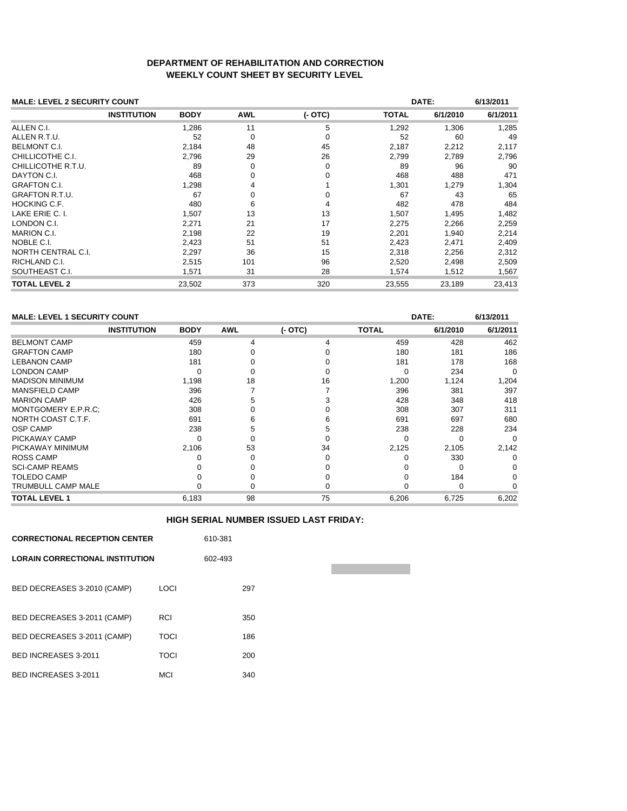### **DEPARTMENT OF REHABILITATION AND CORRECTION WEEKLY COUNT SHEET BY SECURITY LEVEL**

| <b>MALE: LEVEL 2 SECURITY COUNT</b> |                    |             |            |          |              | DATE:    |          |
|-------------------------------------|--------------------|-------------|------------|----------|--------------|----------|----------|
|                                     | <b>INSTITUTION</b> | <b>BODY</b> | <b>AWL</b> | $(-OTC)$ | <b>TOTAL</b> | 6/1/2010 | 6/1/2011 |
| ALLEN C.I.                          |                    | 1,286       | 11         | 5        | 1,292        | 1,306    | 1,285    |
| ALLEN R.T.U.                        |                    | 52          | 0          | 0        | 52           | 60       | 49       |
| <b>BELMONT C.I.</b>                 |                    | 2,184       | 48         | 45       | 2,187        | 2,212    | 2,117    |
| CHILLICOTHE C.I.                    |                    | 2,796       | 29         | 26       | 2,799        | 2,789    | 2,796    |
| CHILLICOTHE R.T.U.                  |                    | 89          | $\Omega$   | 0        | 89           | 96       | 90       |
| DAYTON C.I.                         |                    | 468         | $\Omega$   | $\Omega$ | 468          | 488      | 471      |
| <b>GRAFTON C.I.</b>                 |                    | 1,298       | 4          |          | 1,301        | 1,279    | 1,304    |
| <b>GRAFTON R.T.U.</b>               |                    | 67          | 0          | $\Omega$ | 67           | 43       | 65       |
| <b>HOCKING C.F.</b>                 |                    | 480         | 6          | 4        | 482          | 478      | 484      |
| LAKE ERIE C. I.                     |                    | 1,507       | 13         | 13       | 1,507        | 1,495    | 1,482    |
| LONDON C.I.                         |                    | 2,271       | 21         | 17       | 2,275        | 2,266    | 2,259    |
| <b>MARION C.I.</b>                  |                    | 2,198       | 22         | 19       | 2,201        | 1,940    | 2,214    |
| NOBLE C.I.                          |                    | 2,423       | 51         | 51       | 2,423        | 2,471    | 2,409    |
| NORTH CENTRAL C.I.                  |                    | 2,297       | 36         | 15       | 2,318        | 2,256    | 2,312    |
| RICHLAND C.I.                       |                    | 2,515       | 101        | 96       | 2,520        | 2,498    | 2,509    |
| SOUTHEAST C.I.                      |                    | 1,571       | 31         | 28       | 1,574        | 1,512    | 1,567    |
| <b>TOTAL LEVEL 2</b>                |                    | 23,502      | 373        | 320      | 23,555       | 23,189   | 23,413   |

## **MALE: LEVEL 1 SECURITY COUNT DATE: 6/13/2011**

|                           |                    |             |            |          |              |          | .        |
|---------------------------|--------------------|-------------|------------|----------|--------------|----------|----------|
|                           | <b>INSTITUTION</b> | <b>BODY</b> | <b>AWL</b> | $(-OTC)$ | <b>TOTAL</b> | 6/1/2010 | 6/1/2011 |
| <b>BELMONT CAMP</b>       |                    | 459         | 4          |          | 459          | 428      | 462      |
| <b>GRAFTON CAMP</b>       |                    | 180         |            |          | 180          | 181      | 186      |
| <b>LEBANON CAMP</b>       |                    | 181         |            |          | 181          | 178      | 168      |
| <b>LONDON CAMP</b>        |                    |             |            |          |              | 234      |          |
| <b>MADISON MINIMUM</b>    |                    | 1,198       | 18         | 16       | 1,200        | 1,124    | 1,204    |
| <b>MANSFIELD CAMP</b>     |                    | 396         |            |          | 396          | 381      | 397      |
| <b>MARION CAMP</b>        |                    | 426         |            |          | 428          | 348      | 418      |
| MONTGOMERY E.P.R.C:       |                    | 308         |            |          | 308          | 307      | 311      |
| NORTH COAST C.T.F.        |                    | 691         |            |          | 691          | 697      | 680      |
| <b>OSP CAMP</b>           |                    | 238         |            |          | 238          | 228      | 234      |
| PICKAWAY CAMP             |                    |             |            |          |              |          |          |
| PICKAWAY MINIMUM          |                    | 2,106       | 53         | 34       | 2,125        | 2,105    | 2,142    |
| <b>ROSS CAMP</b>          |                    |             |            |          |              | 330      |          |
| <b>SCI-CAMP REAMS</b>     |                    |             |            |          |              |          |          |
| <b>TOLEDO CAMP</b>        |                    |             |            |          |              | 184      |          |
| <b>TRUMBULL CAMP MALE</b> |                    |             |            |          |              | U        |          |
| <b>TOTAL LEVEL 1</b>      |                    | 6,183       | 98         | 75       | 6,206        | 6,725    | 6,202    |

#### **HIGH SERIAL NUMBER ISSUED LAST FRIDAY:**

| <b>CORRECTIONAL RECEPTION CENTER</b>   | 610-381     |  |     |
|----------------------------------------|-------------|--|-----|
| <b>LORAIN CORRECTIONAL INSTITUTION</b> | 602-493     |  |     |
| BED DECREASES 3-2010 (CAMP)            | LOCI        |  | 297 |
| BED DECREASES 3-2011 (CAMP)            | RCI         |  | 350 |
| BED DECREASES 3-2011 (CAMP)            | <b>TOCI</b> |  | 186 |
| BED INCREASES 3-2011                   | <b>TOCI</b> |  | 200 |
| BED INCREASES 3-2011                   | MCI         |  | 340 |